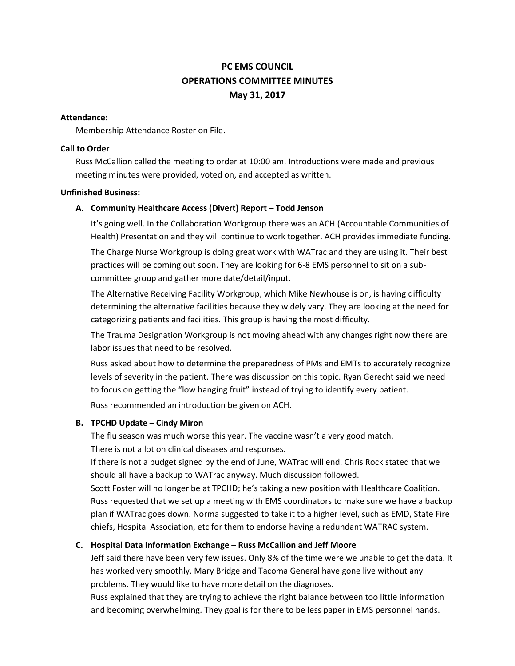# **PC EMS COUNCIL OPERATIONS COMMITTEE MINUTES May 31, 2017**

## **Attendance:**

Membership Attendance Roster on File.

## **Call to Order**

Russ McCallion called the meeting to order at 10:00 am. Introductions were made and previous meeting minutes were provided, voted on, and accepted as written.

## **Unfinished Business:**

# **A. Community Healthcare Access (Divert) Report – Todd Jenson**

It's going well. In the Collaboration Workgroup there was an ACH (Accountable Communities of Health) Presentation and they will continue to work together. ACH provides immediate funding.

The Charge Nurse Workgroup is doing great work with WATrac and they are using it. Their best practices will be coming out soon. They are looking for 6-8 EMS personnel to sit on a subcommittee group and gather more date/detail/input.

The Alternative Receiving Facility Workgroup, which Mike Newhouse is on, is having difficulty determining the alternative facilities because they widely vary. They are looking at the need for categorizing patients and facilities. This group is having the most difficulty.

The Trauma Designation Workgroup is not moving ahead with any changes right now there are labor issues that need to be resolved.

Russ asked about how to determine the preparedness of PMs and EMTs to accurately recognize levels of severity in the patient. There was discussion on this topic. Ryan Gerecht said we need to focus on getting the "low hanging fruit" instead of trying to identify every patient.

Russ recommended an introduction be given on ACH.

# **B. TPCHD Update – Cindy Miron**

The flu season was much worse this year. The vaccine wasn't a very good match. There is not a lot on clinical diseases and responses.

If there is not a budget signed by the end of June, WATrac will end. Chris Rock stated that we should all have a backup to WATrac anyway. Much discussion followed.

Scott Foster will no longer be at TPCHD; he's taking a new position with Healthcare Coalition. Russ requested that we set up a meeting with EMS coordinators to make sure we have a backup plan if WATrac goes down. Norma suggested to take it to a higher level, such as EMD, State Fire chiefs, Hospital Association, etc for them to endorse having a redundant WATRAC system.

# **C. Hospital Data Information Exchange – Russ McCallion and Jeff Moore**

Jeff said there have been very few issues. Only 8% of the time were we unable to get the data. It has worked very smoothly. Mary Bridge and Tacoma General have gone live without any problems. They would like to have more detail on the diagnoses.

Russ explained that they are trying to achieve the right balance between too little information and becoming overwhelming. They goal is for there to be less paper in EMS personnel hands.